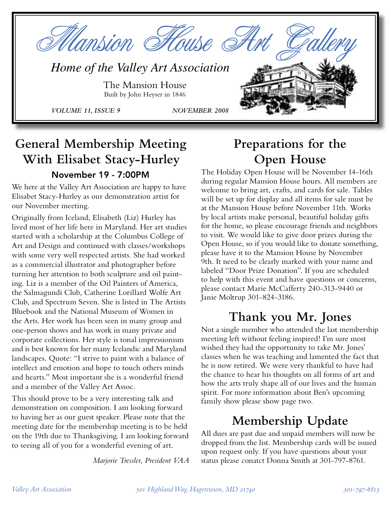

## **General Membership Meeting With Elisabet Stacy-Hurley** November 19 - 7:00PM

We here at the Valley Art Association are happy to have Elisabet Stacy-Hurley as our demonstration artist for our November meeting.

Originally from Iceland, Elisabeth (Liz) Hurley has lived most of her life here in Maryland. Her art studies started with a scholarship at the Columbus College of Art and Design and continued with classes/workshops with some very well respected artists. She had worked as a commercial illustrator and photographer before turning her attention to both sculpture and oil painting. Liz is a member of the Oil Painters of America, the Salmagundi Club, Catherine Lorillard Wolfe Art Club, and Spectrum Seven. She is listed in The Artists Bluebook and the National Museum of Women in the Arts. Her work has been seen in many group and one-person shows and has work in many private and corporate collections. Her style is tonal impressionism and is best known for her many Icelandic and Maryland landscapes. Quote: "I strive to paint with a balance of intellect and emotion and hope to touch others minds and hearts." Most important she is a wonderful friend and a member of the Valley Art Assoc.

This should prove to be a very interesting talk and demonstration on composition. I am looking forward to having her as our guest speaker. Please note that the meeting date for the membership meeting is to be held on the 19th due to Thanksgiving. I am looking forward to seeing all of you for a wonderful evening of art.

*Marjorie Tressler, President VAA*

# **Preparations for the Open House**

The Holiday Open House will be November 14-16th during regular Mansion House hours. All members are welcome to bring art, crafts, and cards for sale. Tables will be set up for display and all items for sale must be at the Mansion House before November 11th. Works by local artists make personal, beautiful holiday gifts for the home, so please encourage friends and neighbors to visit. We would like to give door prizes during the Open House, so if you would like to donate something, please have it to the Mansion House by November 9th. It need to be clearly marked with your name and labeled "Door Prize Donation". If you are scheduled to help with this event and have questions or concerns, please contact Marie McCafferty 240-313-9440 or Janie Moltrup 301-824-3186.

# **Thank you Mr. Jones**

Not a single member who attended the last membership meeting left without feeling inspired! I'm sure most wished they had the opportunity to take Mr. Jones' classes when he was teaching and lamented the fact that he is now retired. We were very thankful to have had the chance to hear his thoughts on all forms of art and how the arts truly shape all of our lives and the human spirit. For more information about Ben's upcoming family show please show page two.

# **Membership Update**

All dues are past due and unpaid members will now be dropped from the list. Membership cards will be issued upon request only. If you have questions about your status please conatct Donna Smith at 301-797-8761.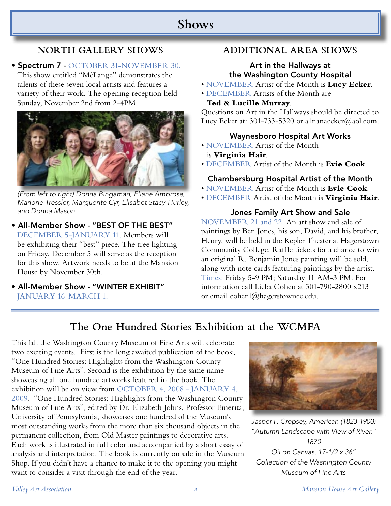## **Shows**

### **NORTH GALLERY SHOWS**

#### • Spectrum 7 - OCTOBER 31-NOVEMBER 30.

This show entitled "MéLange" demonstrates the talents of these seven local artists and features a variety of their work. The opening reception held Sunday, November 2nd from 2-4PM.



(From left to right) Donna Bingaman, Eliane Ambrose, Marjorie Tressler, Marguerite Cyr, Elisabet Stacy-Hurley, and Donna Mason.

- All-Member Show "BEST OF THE BEST" DECEMBER 5-JANUARY 11. Members will be exhibiting their "best" piece. The tree lighting on Friday, December 5 will serve as the reception for this show. Artwork needs to be at the Mansion House by November 30th.
- All-Member Show "WINTER EXHIBIT" JANUARY 16-MARCH 1.

### **ADDITIONAL AREA SHOWS**

#### Art in the Hallways at the Washington County Hospital

- NOVEMBER Artist of the Month is **Lucy Ecker**.
- DECEMBER Artists of the Month are

#### **Ted & Lucille Murray**.

Questions on Art in the Hallways should be directed to Lucy Ecker at: 301-733-5320 or a1nanaecker@aol.com.

#### Waynesboro Hospital Art Works

- NOVEMBER Artist of the Month is **Virginia Hair**.
- DECEMBER Artist of the Month is **Evie Cook**.

#### Chambersburg Hospital Artist of the Month

- NOVEMBER Artist of the Month is **Evie Cook**.
- DECEMBER Artist of the Month is **Virginia Hair**.

#### Jones Family Art Show and Sale

NOVEMBER 21 and 22. An art show and sale of paintings by Ben Jones, his son, David, and his brother, Henry, will be held in the Kepler Theater at Hagerstown Community College. Raffle tickets for a chance to win an original R. Benjamin Jones painting will be sold, along with note cards featuring paintings by the artist. Times: Friday 5-9 PM; Saturday 11 AM-3 PM. For information call Lieba Cohen at 301-790-2800 x213 or email cohenl@hagerstowncc.edu.

### **The One Hundred Stories Exhibition at the WCMFA**

This fall the Washington County Museum of Fine Arts will celebrate two exciting events. First is the long awaited publication of the book, "One Hundred Stories: Highlights from the Washington County Museum of Fine Arts". Second is the exhibition by the same name showcasing all one hundred artworks featured in the book. The exhibition will be on view from OCTOBER 4, 2008 - JANUARY 4, 2009. "One Hundred Stories: Highlights from the Washington County Museum of Fine Arts", edited by Dr. Elizabeth Johns, Professor Emerita, University of Pennsylvania, showcases one hundred of the Museum's most outstanding works from the more than six thousand objects in the permanent collection, from Old Master paintings to decorative arts. Each work is illustrated in full color and accompanied by a short essay of analysis and interpretation. The book is currently on sale in the Museum Shop. If you didn't have a chance to make it to the opening you might want to consider a visit through the end of the year.



Jasper F. Cropsey, American (1823-1900) "Autumn Landscape with View of River," 1870 Oil on Canvas, 17-1/2 x 36" Collection of the Washington County Museum of Fine Arts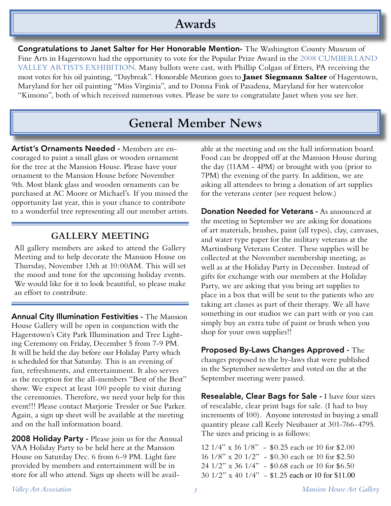## **Awards**

Congratulations to Janet Salter for Her Honorable Mention- The Washington County Museum of Fine Arts in Hagerstown had the opportunity to vote for the Popular Prize Award in the 2008 CUMBERLAND VALLEY ARTISTS EXHIBITION. Many ballots were cast, with Phillip Colgan of Etters, PA receiving the most votes for his oil painting, "Daybreak". Honorable Mention goes to **Janet Siegmann Salter** of Hagerstown, Maryland for her oil painting "Miss Virginia", and to Donna Fink of Pasadena, Maryland for her watercolor "Kimono", both of which received numerous votes. Please be sure to congratulate Janet when you see her.

## **General Member News**

Artist's Ornaments Needed - Members are encouraged to paint a small glass or wooden ornament for the tree at the Mansion House. Please have your ornament to the Mansion House before November 9th. Most blank glass and wooden ornaments can be purchased at AC Moore or Michael's. If you missed the opportunity last year, this is your chance to contribute to a wonderful tree representing all our member artists.

### **GALLERY MEETING**

All gallery members are asked to attend the Gallery Meeting and to help decorate the Mansion House on Thursday, November 13th at 10:00AM. This will set the mood and tone for the upcoming holiday events. We would like for it to look beautiful, so please make an effort to contribute.

Annual City Illumination Festivities - The Mansion House Gallery will be open in conjunction with the Hagerstown's City Park Illumination and Tree Lighting Ceremony on Friday, December 5 from 7-9 PM. It will be held the day before our Holiday Party which is scheduled for that Saturday. This is an evening of fun, refreshments, and entertainment. It also serves as the reception for the all-members "Best of the Best" show. We expect at least 100 people to visit during the ceremonies. Therefore, we need your help for this event!!! Please contact Marjorie Tressler or Sue Parker. Again, a sign up sheet will be available at the meeting and on the hall information board.

2008 Holiday Party - Please join us for the Annual VAA Holiday Party to be held here at the Mansion House on Saturday Dec. 6 from 6-9 PM. Light fare provided by members and entertainment will be in store for all who attend. Sign up sheets will be available at the meeting and on the hall information board. Food can be dropped off at the Mansion House during the day (11AM - 4PM) or brought with you (prior to 7PM) the evening of the party. In addition, we are asking all attendees to bring a donation of art supplies for the veterans center (see request below.)

Donation Needed for Veterans - As announced at the meeting in September we are asking for donations of art materials, brushes, paint (all types), clay, canvases, and water type paper for the military veterans at the Martinsburg Veterans Center. These supplies will be collected at the November membership meeting, as well as at the Holiday Party in December. Instead of gifts for exchange with our members at the Holiday Party, we are asking that you bring art supplies to place in a box that will be sent to the patients who are taking art classes as part of their therapy. We all have something in our studios we can part with or you can simply buy an extra tube of paint or brush when you shop for your own supplies!!

Proposed By-Laws Changes Approved - The changes proposed to the by-laws that were published in the September newsletter and voted on the at the September meeting were passed.

Resealable, Clear Bags for Sale - I have four sizes of resealable, clear print bags for sale. (I had to buy increments of 100). Anyone interested in buying a small quantity please call Keely Neubauer at 301-766-4795. The sizes and pricing is as follows:

12 1/4" x 16 1/8" - \$0.25 each or 10 for \$2.00 16 1/8" x 20 1/2" - \$0.30 each or 10 for \$2.50 24 1/2" x 36 1/4" - \$0.68 each or 10 for \$6.50 30 1/2" x 40 1/4" - \$1.25 each or 10 for \$11.00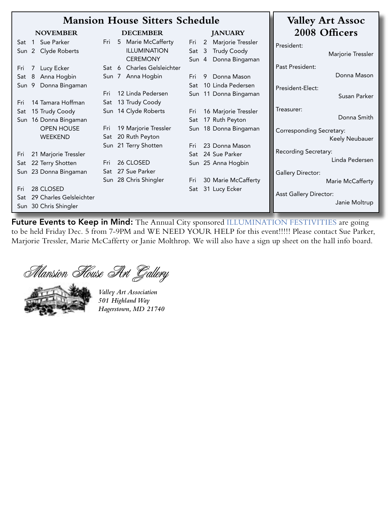|       |                              | <b>Mansion House Sitters Schedule</b> |                                             | <b>Valley Art Assoc</b>         |
|-------|------------------------------|---------------------------------------|---------------------------------------------|---------------------------------|
|       | <b>NOVEMBER</b>              | <b>DECEMBER</b>                       | <b>JANUARY</b>                              | 2008 Officers                   |
| Sat   | Sue Parker<br>$\overline{1}$ | 5 Marie McCafferty<br>Fri             | Marjorie Tressler<br>2<br>Fri               | President:                      |
| Sun 2 | Clyde Roberts                | <b>ILLUMINATION</b>                   | <b>Trudy Coody</b><br>$\overline{3}$<br>Sat | Marjorie Tressler               |
|       |                              | <b>CEREMONY</b>                       | Sun 4<br>Donna Bingaman                     |                                 |
| Fri   | Lucy Ecker                   | Sat 6 Charles Gelsleichter            |                                             | Past President:                 |
| Sat   | Anna Hogbin<br>8             | Sun 7 Anna Hogbin                     | Donna Mason<br>9<br>Fri                     | Donna Mason                     |
| Sun   | Donna Bingaman<br>9          |                                       | 10 Linda Pedersen<br>Sat                    | President-Elect:                |
|       |                              | 12 Linda Pedersen<br>Fri              | Sun 11 Donna Bingaman                       | Susan Parker                    |
| Fri   | 14 Tamara Hoffman            | Sat 13 Trudy Coody                    |                                             |                                 |
| Sat   | 15 Trudy Coody               | Sun 14 Clyde Roberts                  | 16 Marjorie Tressler<br>Fri                 | Treasurer:                      |
|       | Sun 16 Donna Bingaman        |                                       | 17 Ruth Peyton<br>Sat                       | Donna Smith                     |
|       | <b>OPEN HOUSE</b>            | 19 Marjorie Tressler<br>Fri           | Sun 18 Donna Bingaman                       | <b>Corresponding Secretary:</b> |
|       | <b>WEEKEND</b>               | 20 Ruth Peyton<br>Sat                 |                                             | Keely Neubauer                  |
|       |                              | Sun 21 Terry Shotten                  | 23 Donna Mason<br>Fri.                      |                                 |
| Fri   | 21 Marjorie Tressler         |                                       | 24 Sue Parker<br>Sat                        | Recording Secretary:            |
| Sat   | 22 Terry Shotten             | 26 CLOSED<br>Fri                      | Sun 25 Anna Hogbin                          | Linda Pedersen                  |
|       | Sun 23 Donna Bingaman        | Sat 27 Sue Parker                     |                                             | <b>Gallery Director:</b>        |
|       |                              | Sun 28 Chris Shingler                 | 30 Marie McCafferty<br>Fri                  | Marie McCafferty                |
| Fri   | 28 CLOSED                    |                                       | 31 Lucy Ecker<br>Sat                        |                                 |
| Sat   | 29 Charles Gelsleichter      |                                       |                                             | <b>Asst Gallery Director:</b>   |
|       | Sun 30 Chris Shingler        |                                       |                                             | Janie Moltrup                   |

Future Events to Keep in Mind: The Annual City sponsored ILLUMINATION FESTIVITIES are going to be held Friday Dec. 5 from 7-9PM and WE NEED YOUR HELP for this event!!!!! Please contact Sue Parker, Marjorie Tressler, Marie McCafferty or Janie Molthrop. We will also have a sign up sheet on the hall info board.

Mansion House Art Gallery



*Valley Art Association 501 Highland Way Hagerstown, MD 21740*